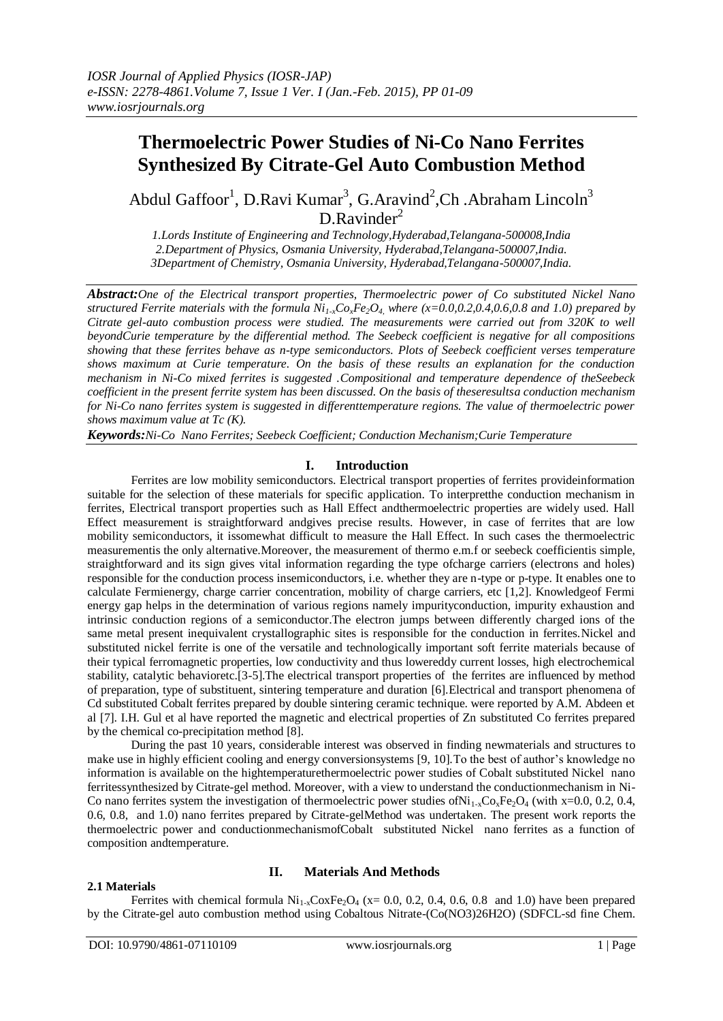# **Thermoelectric Power Studies of Ni-Co Nano Ferrites Synthesized By Citrate-Gel Auto Combustion Method**

Abdul Gaffoor<sup>1</sup>, D.Ravi Kumar<sup>3</sup>, G.Aravind<sup>2</sup>,Ch .Abraham Lincoln<sup>3</sup>  $D.Ravinder<sup>2</sup>$ 

*1.Lords Institute of Engineering and Technology,Hyderabad,Telangana-500008,India 2.Department of Physics, Osmania University, Hyderabad,Telangana-500007,India. 3Department of Chemistry, Osmania University, Hyderabad,Telangana-500007,India.*

*Abstract:One of the Electrical transport properties, Thermoelectric power of Co substituted Nickel Nano structured Ferrite materials with the formula*  $Ni_{1x}Co_xFe_2O_4$ *, where (x=0.0,0.2,0.4,0.6,0.8 and 1.0) prepared by Citrate gel-auto combustion process were studied. The measurements were carried out from 320K to well beyondCurie temperature by the differential method. The Seebeck coefficient is negative for all compositions showing that these ferrites behave as n-type semiconductors. Plots of Seebeck coefficient verses temperature shows maximum at Curie temperature. On the basis of these results an explanation for the conduction mechanism in Ni-Co mixed ferrites is suggested .Compositional and temperature dependence of theSeebeck coefficient in the present ferrite system has been discussed. On the basis of theseresultsa conduction mechanism for Ni-Co nano ferrites system is suggested in differenttemperature regions. The value of thermoelectric power shows maximum value at Tc (K).*

*Keywords:Ni-Co Nano Ferrites; Seebeck Coefficient; Conduction Mechanism;Curie Temperature*

## **I. Introduction**

Ferrites are low mobility semiconductors. Electrical transport properties of ferrites provideinformation suitable for the selection of these materials for specific application. To interpretthe conduction mechanism in ferrites, Electrical transport properties such as Hall Effect andthermoelectric properties are widely used. Hall Effect measurement is straightforward andgives precise results. However, in case of ferrites that are low mobility semiconductors, it issomewhat difficult to measure the Hall Effect. In such cases the thermoelectric measurementis the only alternative.Moreover, the measurement of thermo e.m.f or seebeck coefficientis simple, straightforward and its sign gives vital information regarding the type ofcharge carriers (electrons and holes) responsible for the conduction process insemiconductors, i.e. whether they are n-type or p-type. It enables one to calculate Fermienergy, charge carrier concentration, mobility of charge carriers, etc [1,2]. Knowledgeof Fermi energy gap helps in the determination of various regions namely impurityconduction, impurity exhaustion and intrinsic conduction regions of a semiconductor.The electron jumps between differently charged ions of the same metal present inequivalent crystallographic sites is responsible for the conduction in ferrites.Nickel and substituted nickel ferrite is one of the versatile and technologically important soft ferrite materials because of their typical ferromagnetic properties, low conductivity and thus lowereddy current losses, high electrochemical stability, catalytic behavioretc.[3-5].The electrical transport properties of the ferrites are influenced by method of preparation, type of substituent, sintering temperature and duration [6].Electrical and transport phenomena of Cd substituted Cobalt ferrites prepared by double sintering ceramic technique. were reported by A.M. Abdeen et al [7]. I.H. Gul et al have reported the magnetic and electrical properties of Zn substituted Co ferrites prepared by the chemical co-precipitation method [8].

During the past 10 years, considerable interest was observed in finding newmaterials and structures to make use in highly efficient cooling and energy conversionsystems [9, 10]. To the best of author's knowledge no information is available on the hightemperaturethermoelectric power studies of Cobalt substituted Nickel nano ferritessynthesized by Citrate-gel method. Moreover, with a view to understand the conductionmechanism in Ni-Co nano ferrites system the investigation of thermoelectric power studies of  $Ni_{1-x}Co_xFe_2O_4$  (with x=0.0, 0.2, 0.4, 0.6, 0.8, and 1.0) nano ferrites prepared by Citrate-gelMethod was undertaken. The present work reports the thermoelectric power and conductionmechanismofCobalt substituted Nickel nano ferrites as a function of composition andtemperature.

#### **2.1 Materials**

## **II. Materials And Methods**

Ferrites with chemical formula  $Ni_{1-x}CoxFe_2O_4$  (x= 0.0, 0.2, 0.4, 0.6, 0.8 and 1.0) have been prepared by the Citrate-gel auto combustion method using Cobaltous Nitrate-(Co(NO3)26H2O) (SDFCL-sd fine Chem.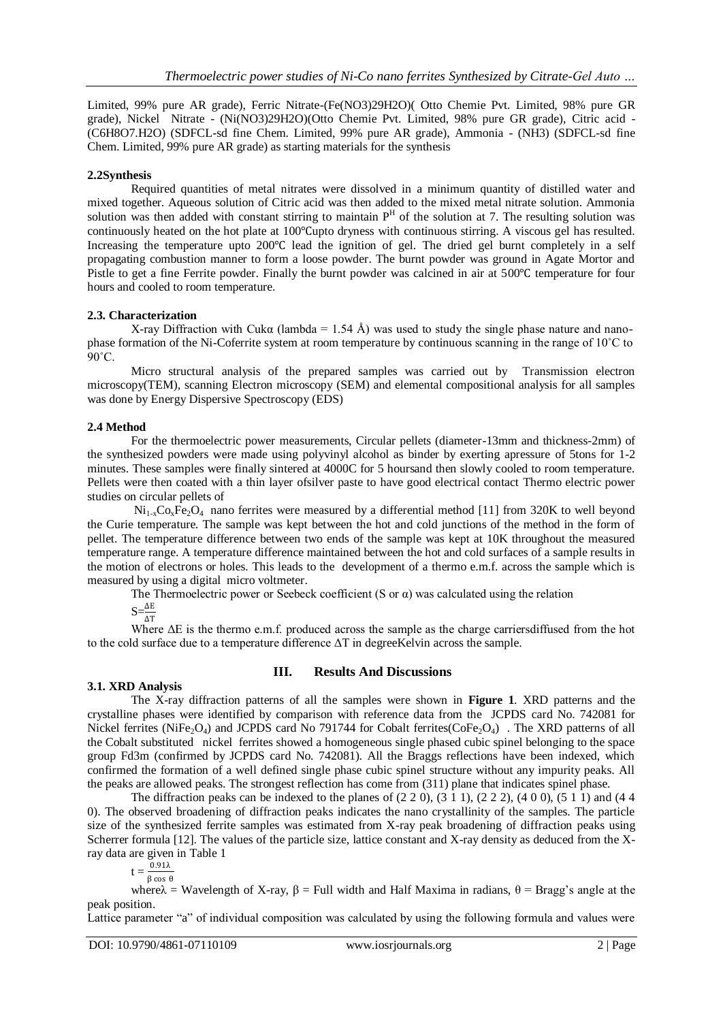Limited, 99% pure AR grade), Ferric Nitrate-(Fe(NO3)29H2O)( Otto Chemie Pvt. Limited, 98% pure GR grade), Nickel Nitrate - (Ni(NO3)29H2O)(Otto Chemie Pvt. Limited, 98% pure GR grade), Citric acid - (C6H8O7.H2O) (SDFCL-sd fine Chem. Limited, 99% pure AR grade), Ammonia - (NH3) (SDFCL-sd fine Chem. Limited, 99% pure AR grade) as starting materials for the synthesis

## **2.2Synthesis**

Required quantities of metal nitrates were dissolved in a minimum quantity of distilled water and mixed together. Aqueous solution of Citric acid was then added to the mixed metal nitrate solution. Ammonia solution was then added with constant stirring to maintain  $P<sup>H</sup>$  of the solution at 7. The resulting solution was continuously heated on the hot plate at 100°Cupto dryness with continuous stirring. A viscous gel has resulted. Increasing the temperature upto 200℃ lead the ignition of gel. The dried gel burnt completely in a self propagating combustion manner to form a loose powder. The burnt powder was ground in Agate Mortor and Pistle to get a fine Ferrite powder. Finally the burnt powder was calcined in air at 500℃ temperature for four hours and cooled to room temperature.

## **2.3. Characterization**

X-ray Diffraction with Cuka (lambda = 1.54 Å) was used to study the single phase nature and nanophase formation of the Ni-Coferrite system at room temperature by continuous scanning in the range of 10˚C to  $90^{\circ}$ C.

Micro structural analysis of the prepared samples was carried out by Transmission electron microscopy(TEM), scanning Electron microscopy (SEM) and elemental compositional analysis for all samples was done by Energy Dispersive Spectroscopy (EDS)

## **2.4 Method**

For the thermoelectric power measurements, Circular pellets (diameter-13mm and thickness-2mm) of the synthesized powders were made using polyvinyl alcohol as binder by exerting apressure of 5tons for 1-2 minutes. These samples were finally sintered at 4000C for 5 hoursand then slowly cooled to room temperature. Pellets were then coated with a thin layer ofsilver paste to have good electrical contact Thermo electric power studies on circular pellets of

 $Ni<sub>1-x</sub>Co<sub>x</sub>Fe<sub>2</sub>O<sub>4</sub>$  nano ferrites were measured by a differential method [11] from 320K to well beyond the Curie temperature. The sample was kept between the hot and cold junctions of the method in the form of pellet. The temperature difference between two ends of the sample was kept at 10K throughout the measured temperature range. A temperature difference maintained between the hot and cold surfaces of a sample results in the motion of electrons or holes. This leads to the development of a thermo e.m.f. across the sample which is measured by using a digital micro voltmeter.

The Thermoelectric power or Seebeck coefficient (S or  $\alpha$ ) was calculated using the relation

 $S=\frac{\Delta E}{\Delta T}$ 

Where ΔE is the thermo e.m.f. produced across the sample as the charge carriersdiffused from the hot to the cold surface due to a temperature difference ΔT in degreeKelvin across the sample.

## **3.1. XRD Analysis**

# **III. Results And Discussions**

The X-ray diffraction patterns of all the samples were shown in **Figure 1**. XRD patterns and the crystalline phases were identified by comparison with reference data from the JCPDS card No. 742081 for Nickel ferrites (NiFe<sub>2</sub>O<sub>4</sub>) and JCPDS card No 791744 for Cobalt ferrites(CoFe<sub>2</sub>O<sub>4</sub>). The XRD patterns of all the Cobalt substituted nickel ferrites showed a homogeneous single phased cubic spinel belonging to the space group Fd3m (confirmed by JCPDS card No. 742081). All the Braggs reflections have been indexed, which confirmed the formation of a well defined single phase cubic spinel structure without any impurity peaks. All the peaks are allowed peaks. The strongest reflection has come from (311) plane that indicates spinel phase.

The diffraction peaks can be indexed to the planes of  $(2\ 2\ 0)$ ,  $(3\ 1\ 1)$ ,  $(2\ 2\ 2)$ ,  $(4\ 0\ 0)$ ,  $(5\ 1\ 1)$  and  $(4\ 4\ 4)$ 0). The observed broadening of diffraction peaks indicates the nano crystallinity of the samples. The particle size of the synthesized ferrite samples was estimated from X-ray peak broadening of diffraction peaks using Scherrer formula [12]. The values of the particle size, lattice constant and X-ray density as deduced from the Xray data are given in Table 1

$$
t = \frac{0.91\lambda}{\beta \cos \theta}
$$

whereλ = Wavelength of X-ray,  $β$  = Full width and Half Maxima in radians,  $θ$  = Bragg's angle at the peak position.

Lattice parameter "a" of individual composition was calculated by using the following formula and values were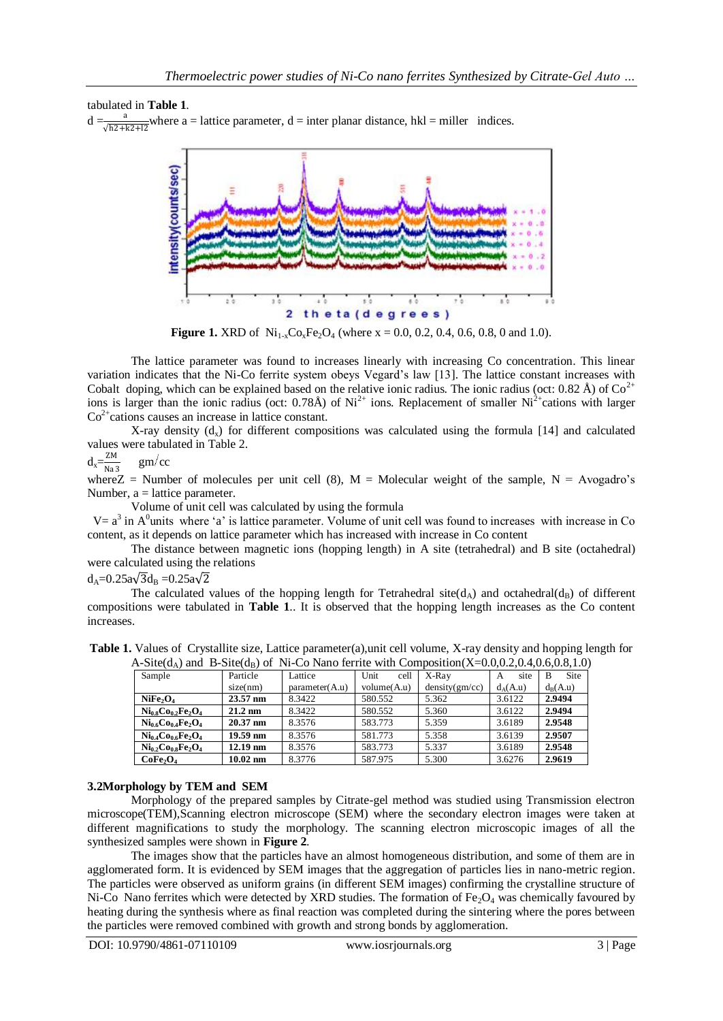## tabulated in **Table 1**.

 $d = \frac{a}{\sqrt{h^2 + k^2 + l^2}}$  where a = lattice parameter, d = inter planar distance, hkl = miller indices.



**Figure 1.** XRD of  $Ni_{1-x}Co_xFe_2O_4$  (where  $x = 0.0, 0.2, 0.4, 0.6, 0.8, 0$  and 1.0).

The lattice parameter was found to increases linearly with increasing Co concentration. This linear variation indicates that the Ni-Co ferrite system obeys Vegard"s law [13]. The lattice constant increases with Cobalt doping, which can be explained based on the relative ionic radius. The ionic radius (oct: 0.82 Å) of  $Co^{2+}$ ions is larger than the ionic radius (oct:  $0.78\text{\AA}$ ) of Ni<sup>2+</sup> ions. Replacement of smaller Ni<sup>2+</sup>cations with larger  $Co<sup>2+</sup>$ cations causes an increase in lattice constant.

X-ray density  $(d_x)$  for different compositions was calculated using the formula [14] and calculated values were tabulated in Table 2.

 $d_x = \frac{ZM}{N_0}$ Na3  $gm/cc$ 

where  $Z =$  Number of molecules per unit cell (8),  $M =$  Molecular weight of the sample,  $N =$  Avogadro's Number,  $a =$  lattice parameter.

Volume of unit cell was calculated by using the formula

 $V = a<sup>3</sup>$  in A<sup>0</sup> units where 'a' is lattice parameter. Volume of unit cell was found to increases with increase in Co content, as it depends on lattice parameter which has increased with increase in Co content

The distance between magnetic ions (hopping length) in A site (tetrahedral) and B site (octahedral) were calculated using the relations

 $d_A = 0.25a\sqrt{3}d_B = 0.25a\sqrt{2}$ 

The calculated values of the hopping length for Tetrahedral site( $d_A$ ) and octahedral( $d_B$ ) of different compositions were tabulated in **Table 1**.. It is observed that the hopping length increases as the Co content increases.

| TV DIRICLE T BURGLEY OF THE COTALITY REFLEX WHILE COMPOSITION (TO 0.0.0.2.0.4.0.0.0.0.1.0) |                    |                |              |                |            |            |
|--------------------------------------------------------------------------------------------|--------------------|----------------|--------------|----------------|------------|------------|
| Sample                                                                                     | Particle           | Lattice        | Unit<br>cell | X-Ray          | site<br>A  | Site<br>B  |
|                                                                                            | size(nm)           | parameter(A.u) | volume(A.u)  | density(gm/cc) | $d_A(A.u)$ | $d_R(A.u)$ |
| NiFe <sub>2</sub>                                                                          | $23.57 \text{ nm}$ | 8.3422         | 580.552      | 5.362          | 3.6122     | 2.9494     |
| $Ni0.8Co0.2Fe2O4$                                                                          | $21.2 \text{ nm}$  | 8.3422         | 580.552      | 5.360          | 3.6122     | 2.9494     |
| $Ni0.6Co0.4Fe2O4$                                                                          | $20.37 \text{ nm}$ | 8.3576         | 583.773      | 5.359          | 3.6189     | 2.9548     |
| $Ni0.4Co0.6Fe2O4$                                                                          | $19.59$ nm         | 8.3576         | 581.773      | 5.358          | 3.6139     | 2.9507     |
| $Ni0.2Co0.8Fe2O4$                                                                          | $12.19 \text{ nm}$ | 8.3576         | 583.773      | 5.337          | 3.6189     | 2.9548     |
| CoFe <sub>2</sub>                                                                          | $10.02 \text{ nm}$ | 8.3776         | 587.975      | 5.300          | 3.6276     | 2.9619     |

**Table 1.** Values of Crystallite size, Lattice parameter(a),unit cell volume, X-ray density and hopping length for  $A-Sited$ ) and  $B-Sited_{\mathbb{R}}$  of Ni-Co Nano ferrite with Composition(X-0,0,0.2,0.4,0.6,0.8,1.0)

#### **3.2Morphology by TEM and SEM**

Morphology of the prepared samples by Citrate-gel method was studied using Transmission electron microscope(TEM),Scanning electron microscope (SEM) where the secondary electron images were taken at different magnifications to study the morphology. The scanning electron microscopic images of all the synthesized samples were shown in **Figure 2**.

The images show that the particles have an almost homogeneous distribution, and some of them are in agglomerated form. It is evidenced by SEM images that the aggregation of particles lies in nano-metric region. The particles were observed as uniform grains (in different SEM images) confirming the crystalline structure of Ni-Co Nano ferrites which were detected by XRD studies. The formation of  $Fe<sub>2</sub>O<sub>4</sub>$  was chemically favoured by heating during the synthesis where as final reaction was completed during the sintering where the pores between the particles were removed combined with growth and strong bonds by agglomeration.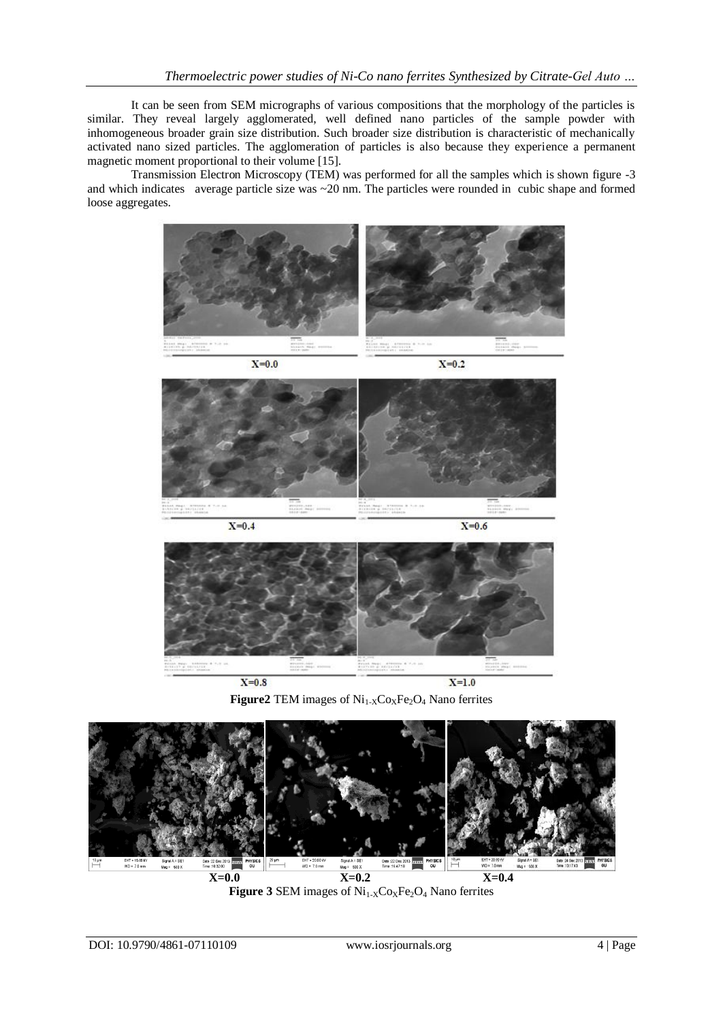It can be seen from SEM micrographs of various compositions that the morphology of the particles is similar. They reveal largely agglomerated, well defined nano particles of the sample powder with inhomogeneous broader grain size distribution. Such broader size distribution is characteristic of mechanically activated nano sized particles. The agglomeration of particles is also because they experience a permanent magnetic moment proportional to their volume [15].

Transmission Electron Microscopy (TEM) was performed for all the samples which is shown figure -3 and which indicates average particle size was ~20 nm. The particles were rounded in cubic shape and formed loose aggregates.



**Figure2** TEM images of  $Ni_{1-X}Co_XFe_2O_4$  Nano ferrites



**Figure 3** SEM images of  $Ni_{1-X}Co_XFe_2O_4$  Nano ferrites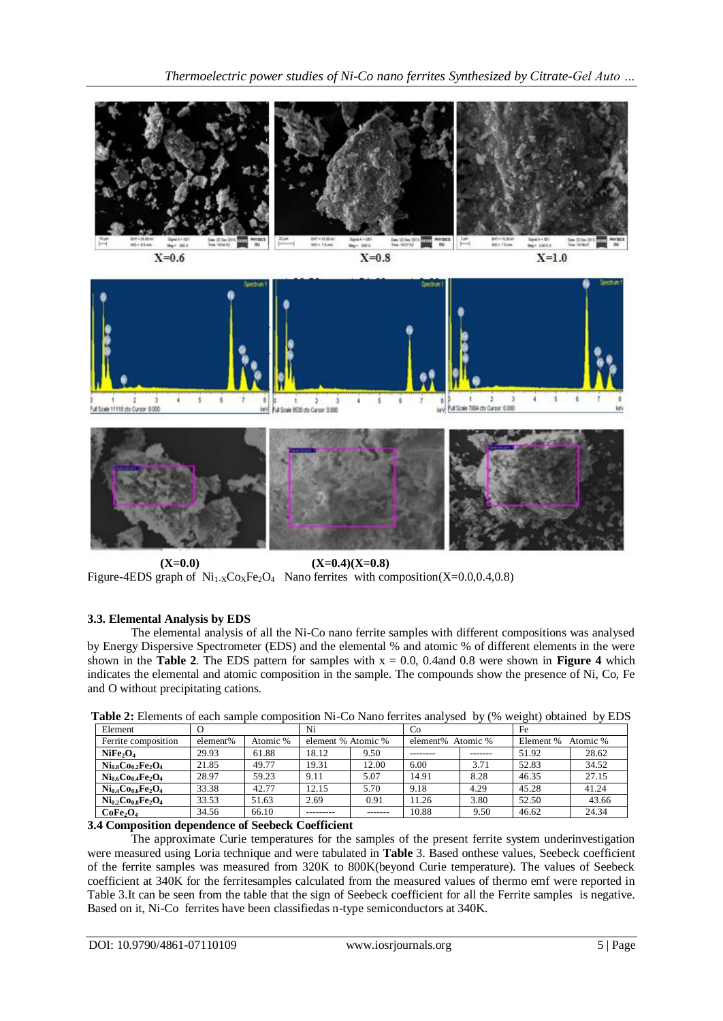

 $(X=0.0)$   $(X=0.4)(X=0.8)$ Figure-4EDS graph of  $Ni_{1\times}Co_{X}Fe_{2}O_{4}$  Nano ferrites with composition(X=0.0,0.4,0.8)

## **3.3. Elemental Analysis by EDS**

The elemental analysis of all the Ni-Co nano ferrite samples with different compositions was analysed by Energy Dispersive Spectrometer (EDS) and the elemental % and atomic % of different elements in the were shown in the **Table 2**. The EDS pattern for samples with  $x = 0.0$ , 0.4and 0.8 were shown in **Figure 4** which indicates the elemental and atomic composition in the sample. The compounds show the presence of Ni, Co, Fe and O without precipitating cations.

| Element                          | $\mathcal{O}$ |          | Ni                 |        | Co                |         | Fe        |          |
|----------------------------------|---------------|----------|--------------------|--------|-------------------|---------|-----------|----------|
| Ferrite composition              | element%      | Atomic % | element % Atomic % |        | element% Atomic % |         | Element % | Atomic % |
| NiFe <sub>2</sub> O <sub>4</sub> | 29.93         | 61.88    | 18.12              | 9.50   |                   | ------- | 51.92     | 28.62    |
| $Ni0.8Co0.2Fe2O4$                | 21.85         | 49.77    | 19.31              | 12.00  | 6.00              | 3.71    | 52.83     | 34.52    |
| $Ni_{0.6}Co_{0.4}Fe_2O_4$        | 28.97         | 59.23    | 9.11               | 5.07   | 14.91             | 8.28    | 46.35     | 27.15    |
| $Ni0.4Co0.6Fe2O4$                | 33.38         | 42.77    | 12.15              | 5.70   | 9.18              | 4.29    | 45.28     | 41.24    |
| $Ni0.2Co0.8Fe2O4$                | 33.53         | 51.63    | 2.69               | 0.91   | 1.26              | 3.80    | 52.50     | 43.66    |
| CoFe <sub>2</sub> O <sub>4</sub> | 34.56         | 66.10    |                    | ------ | 10.88             | 9.50    | 46.62     | 24.34    |

**Table 2:** Elements of each sample composition Ni-Co Nano ferrites analysed by (% weight) obtained by EDS

## **3.4 Composition dependence of Seebeck Coefficient**

The approximate Curie temperatures for the samples of the present ferrite system underinvestigation were measured using Loria technique and were tabulated in **Table** 3. Based onthese values, Seebeck coefficient of the ferrite samples was measured from 320K to 800K(beyond Curie temperature). The values of Seebeck coefficient at 340K for the ferritesamples calculated from the measured values of thermo emf were reported in Table 3.It can be seen from the table that the sign of Seebeck coefficient for all the Ferrite samples is negative. Based on it, Ni-Co ferrites have been classifiedas n-type semiconductors at 340K.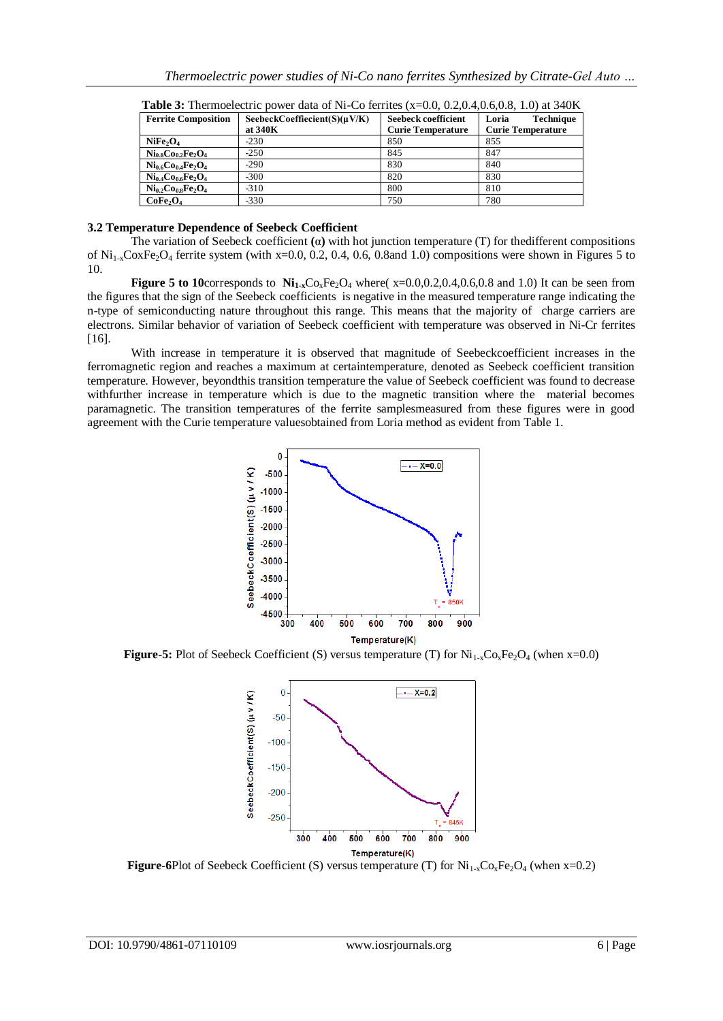| <b>Ferrite Composition</b>       | SeebeckCoeffiecient $(S)(\mu V/K)$ | Seebeck coefficient      | Loria<br><b>Technique</b> |
|----------------------------------|------------------------------------|--------------------------|---------------------------|
|                                  | at 340K                            | <b>Curie Temperature</b> | <b>Curie Temperature</b>  |
| NiFe <sub>2</sub> O <sub>4</sub> | $-230$                             | 850                      | 855                       |
| $Ni0.8Co0.2Fe2O4$                | $-250$                             | 845                      | 847                       |
| $Ni_{0.6}Co_{0.4}Fe_2O_4$        | $-290$                             | 830                      | 840                       |
| $Ni_{0.4}Co_{0.6}Fe_2O_4$        | $-300$                             | 820                      | 830                       |
| $Ni0.2Co0.8Fe2O4$                | $-310$                             | 800                      | 810                       |
| CoFe <sub>2</sub> O <sub>4</sub> | $-330$                             | 750                      | 780                       |

**Table 3:** Thermoelectric power data of Ni-Co ferrites (x=0.0, 0.2,0.4,0.6,0.8, 1.0) at 340K

#### **3.2 Temperature Dependence of Seebeck Coefficient**

The variation of Seebeck coefficient **(**α**)** with hot junction temperature (T) for thedifferent compositions of  $Ni_{1-x}CoxFe_2O_4$  ferrite system (with x=0.0, 0.2, 0.4, 0.6, 0.8and 1.0) compositions were shown in Figures 5 to 10.

**Figure 5 to 10corresponds to**  $Ni<sub>1-x</sub>Co<sub>x</sub>Fe<sub>2</sub>O<sub>4</sub>$  **where(** $x=0.0,0.2,0.4,0.6,0.8$  **and 1.0) It can be seen from** the figures that the sign of the Seebeck coefficients is negative in the measured temperature range indicating the n-type of semiconducting nature throughout this range. This means that the majority of charge carriers are electrons. Similar behavior of variation of Seebeck coefficient with temperature was observed in Ni-Cr ferrites [16].

With increase in temperature it is observed that magnitude of Seebeckcoefficient increases in the ferromagnetic region and reaches a maximum at certaintemperature, denoted as Seebeck coefficient transition temperature. However, beyondthis transition temperature the value of Seebeck coefficient was found to decrease withfurther increase in temperature which is due to the magnetic transition where the material becomes paramagnetic. The transition temperatures of the ferrite samplesmeasured from these figures were in good agreement with the Curie temperature valuesobtained from Loria method as evident from Table 1.



**Figure-5:** Plot of Seebeck Coefficient (S) versus temperature (T) for  $Ni_{1-x}Co_xFe_2O_4$  (when x=0.0)



**Figure-6**Plot of Seebeck Coefficient (S) versus temperature (T) for  $Ni_{1-x}Co_xFe_2O_4$  (when x=0.2)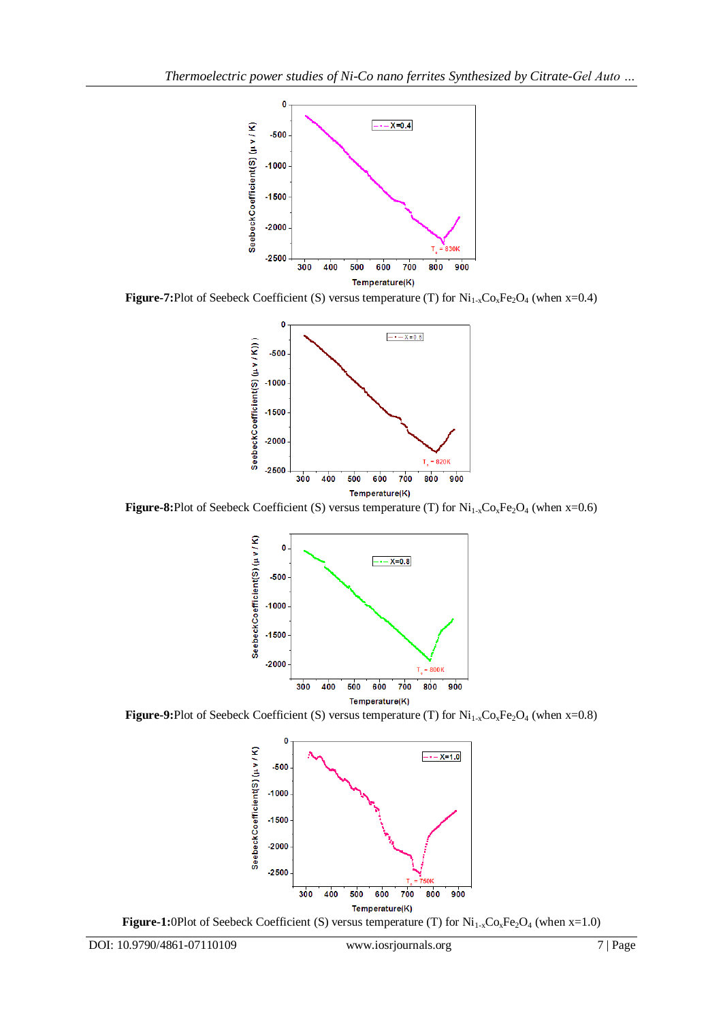

**Figure-7:**Plot of Seebeck Coefficient (S) versus temperature (T) for Ni<sub>1-x</sub>Co<sub>x</sub>Fe<sub>2</sub>O<sub>4</sub> (when x=0.4)



**Figure-8:**Plot of Seebeck Coefficient (S) versus temperature (T) for Ni<sub>1-x</sub>Co<sub>x</sub>Fe<sub>2</sub>O<sub>4</sub> (when x=0.6)



**Figure-9:**Plot of Seebeck Coefficient (S) versus temperature (T) for Ni<sub>1-x</sub>Co<sub>x</sub>Fe<sub>2</sub>O<sub>4</sub> (when x=0.8)



**Figure-1:**0Plot of Seebeck Coefficient (S) versus temperature (T) for Ni<sub>1-x</sub>Co<sub>x</sub>Fe<sub>2</sub>O<sub>4</sub> (when x=1.0)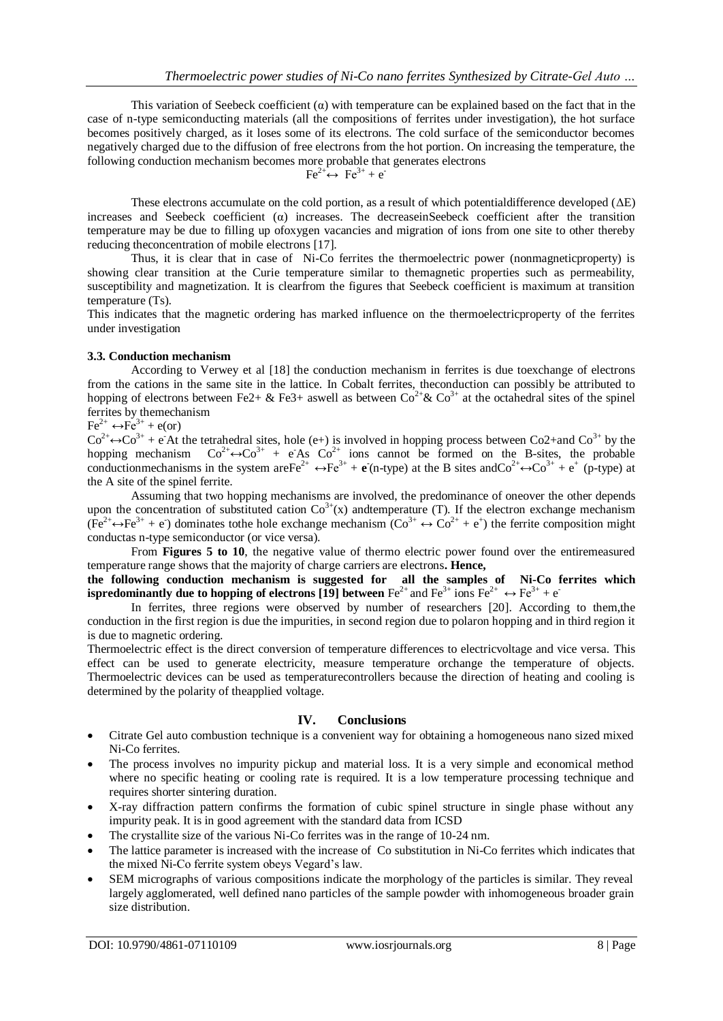This variation of Seebeck coefficient  $(\alpha)$  with temperature can be explained based on the fact that in the case of n-type semiconducting materials (all the compositions of ferrites under investigation), the hot surface becomes positively charged, as it loses some of its electrons. The cold surface of the semiconductor becomes negatively charged due to the diffusion of free electrons from the hot portion. On increasing the temperature, the following conduction mechanism becomes more probable that generates electrons

$$
\text{Fe}^{2+} \leftrightarrow \text{Fe}^{3+} + \text{e}^{-}
$$

These electrons accumulate on the cold portion, as a result of which potential difference developed ( $\Delta E$ ) increases and Seebeck coefficient  $\alpha$ ) increases. The decreaseinSeebeck coefficient after the transition temperature may be due to filling up ofoxygen vacancies and migration of ions from one site to other thereby reducing theconcentration of mobile electrons [17].

Thus, it is clear that in case of Ni-Co ferrites the thermoelectric power (nonmagneticproperty) is showing clear transition at the Curie temperature similar to themagnetic properties such as permeability, susceptibility and magnetization. It is clearfrom the figures that Seebeck coefficient is maximum at transition temperature (Ts).

This indicates that the magnetic ordering has marked influence on the thermoelectricproperty of the ferrites under investigation

#### **3.3. Conduction mechanism**

According to Verwey et al [18] the conduction mechanism in ferrites is due toexchange of electrons from the cations in the same site in the lattice. In Cobalt ferrites, theconduction can possibly be attributed to hopping of electrons between Fe2+ & Fe3+ aswell as between  $Co^{2+} \& Co^{3+}$  at the octahedral sites of the spinel ferrites by themechanism

## $Fe^{2+} \leftrightarrow Fe^{3+} + e (or)$

 $Co^{2+} \leftrightarrow Co^{3+} + e^-$ At the tetrahedral sites, hole (e+) is involved in hopping process between Co2+and Co<sup>3+</sup> by the hopping mechanism  $Co^{2+} \leftrightarrow Co^{3+} + e^- As$   $Co^{2+}$  ions cannot be formed on the B-sites, the probable conductionmechanisms in the system are  $\text{Fe}^{2+} \leftrightarrow \text{Fe}^{3+} + \text{e}$  (n-type) at the B sites and  $\text{Co}^{2+} \leftrightarrow \text{Co}^{3+} + \text{e}^+$  (p-type) at the A site of the spinel ferrite.

Assuming that two hopping mechanisms are involved, the predominance of oneover the other depends upon the concentration of substituted cation  $\text{Co}^{3+}(x)$  andtemperature (T). If the electron exchange mechanism  $(Fe^{2+} \leftrightarrow Fe^{3+} + e^-)$  dominates tothe hole exchange mechanism  $(Co^{3+} \leftrightarrow Co^{2+} + e^+)$  the ferrite composition might conductas n-type semiconductor (or vice versa).

From **Figures 5 to 10**, the negative value of thermo electric power found over the entiremeasured temperature range shows that the majority of charge carriers are electrons**. Hence,**

**the following conduction mechanism is suggested for all the samples of Ni-Co ferrites which ispredominantly due to hopping of electrons [19] between**  $\text{Fe}^{2+}$  and  $\text{Fe}^{3+}$  ions  $\text{Fe}^{2+} \leftrightarrow \text{Fe}^{3+} + \text{e}^{-}$ 

In ferrites, three regions were observed by number of researchers [20]. According to them,the conduction in the first region is due the impurities, in second region due to polaron hopping and in third region it is due to magnetic ordering.

Thermoelectric effect is the direct conversion of temperature differences to electricvoltage and vice versa. This effect can be used to generate electricity, measure temperature orchange the temperature of objects. Thermoelectric devices can be used as temperaturecontrollers because the direction of heating and cooling is determined by the polarity of theapplied voltage.

## **IV. Conclusions**

- Citrate Gel auto combustion technique is a convenient way for obtaining a homogeneous nano sized mixed Ni-Co ferrites.
- The process involves no impurity pickup and material loss. It is a very simple and economical method where no specific heating or cooling rate is required. It is a low temperature processing technique and requires shorter sintering duration.
- X-ray diffraction pattern confirms the formation of cubic spinel structure in single phase without any impurity peak. It is in good agreement with the standard data from ICSD
- The crystallite size of the various Ni-Co ferrites was in the range of 10-24 nm.
- The lattice parameter is increased with the increase of Co substitution in Ni-Co ferrites which indicates that the mixed Ni-Co ferrite system obeys Vegard"s law.
- SEM micrographs of various compositions indicate the morphology of the particles is similar. They reveal largely agglomerated, well defined nano particles of the sample powder with inhomogeneous broader grain size distribution.